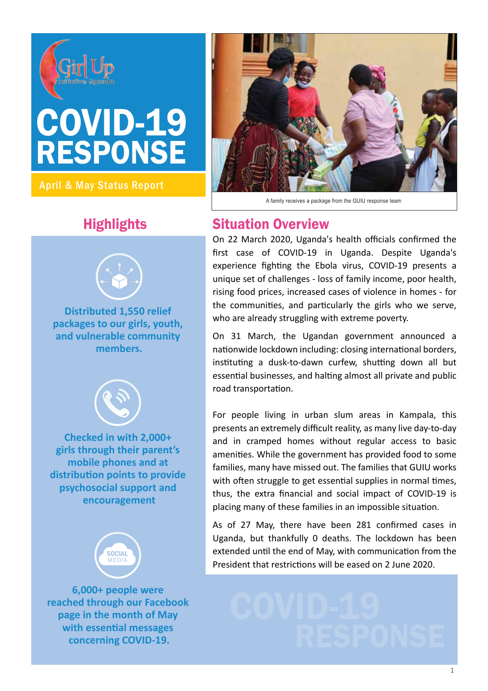

# RESPONSE COVID-19

April & May Status Report



**Distributed 1,550 relief packages to our girls, youth, and vulnerable community members.**



**Checked in with 2,000+ girls through their parent's mobile phones and at distribu�on points to provide psychosocial support and encouragement**



**6,000+ people were reached through our Facebook page in the month of May with essential messages** 



A family receives a package from the GUIU response team

# **Highlights Situation Overview**

On 22 March 2020, Uganda's health officials confirmed the first case of COVID-19 in Uganda. Despite Uganda's experience fighting the Ebola virus, COVID-19 presents a unique set of challenges - loss of family income, poor health, rising food prices, increased cases of violence in homes - for the communities, and particularly the girls who we serve, who are already struggling with extreme poverty.

On 31 March, the Ugandan government announced a nationwide lockdown including: closing international borders, instituting a dusk-to-dawn curfew, shutting down all but essential businesses, and halting almost all private and public road transportation.

For people living in urban slum areas in Kampala, this presents an extremely difficult reality, as many live day-to-day and in cramped homes without regular access to basic amenities. While the government has provided food to some families, many have missed out. The families that GUIU works with often struggle to get essential supplies in normal times, thus, the extra financial and social impact of COVID-19 is placing many of these families in an impossible situation.

As of 27 May, there have been 281 confirmed cases in Uganda, but thankfully 0 deaths. The lockdown has been extended until the end of May, with communication from the President that restrictions will be eased on 2 June 2020.

Fith essential messages<br>concerning COVID-19.<br> $\blacksquare$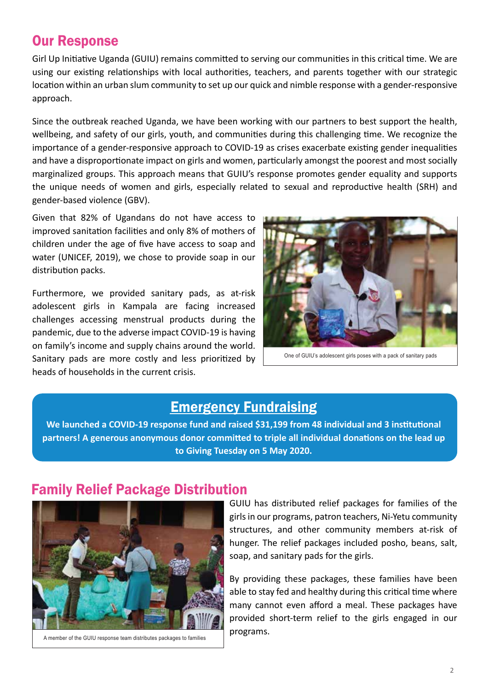### Our Response

Girl Up Initiative Uganda (GUIU) remains committed to serving our communities in this critical time. We are using our existing relationships with local authorities, teachers, and parents together with our strategic location within an urban slum community to set up our quick and nimble response with a gender-responsive approach.

Since the outbreak reached Uganda, we have been working with our partners to best support the health, wellbeing, and safety of our girls, youth, and communities during this challenging time. We recognize the importance of a gender-responsive approach to COVID-19 as crises exacerbate existing gender inequalities and have a disproportionate impact on girls and women, particularly amongst the poorest and most socially marginalized groups. This approach means that GUIU's response promotes gender equality and supports the unique needs of women and girls, especially related to sexual and reproductive health (SRH) and gender-based violence (GBV).

Given that 82% of Ugandans do not have access to improved sanitation facilities and only 8% of mothers of children under the age of five have access to soap and water (UNICEF, 2019), we chose to provide soap in our distribution packs.

Furthermore, we provided sanitary pads, as at-risk adolescent girls in Kampala are facing increased challenges accessing menstrual products during the pandemic, due to the adverse impact COVID-19 is having on family's income and supply chains around the world. Sanitary pads are more costly and less prioritized by heads of households in the current crisis.



One of GUIU's adolescent girls poses with a pack of sanitary pads

#### Emergency Fundraising

We launched a COVID-19 response fund and raised \$31,199 from 48 individual and 3 institutional partners! A generous anonymous donor committed to triple all individual donations on the lead up **to Giving Tuesday on 5 May 2020.**

#### Family Relief Package Distribution



A member of the GUIU response team distributes packages to families

GUIU has distributed relief packages for families of the girls in our programs, patron teachers, Ni-Yetu community structures, and other community members at-risk of hunger. The relief packages included posho, beans, salt, soap, and sanitary pads for the girls.

By providing these packages, these families have been able to stay fed and healthy during this critical time where many cannot even afford a meal. These packages have provided short-term relief to the girls engaged in our programs.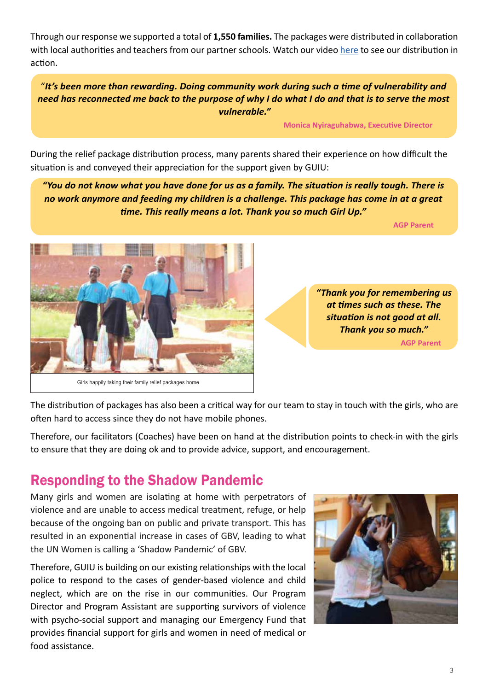Through our response we supported a total of 1,550 families. The packages were distributed in collaboration with local authorities and teachers from our partner schools. Watch our video [here](https://web.facebook.com/watch/?v=540331809974892&_rdc=1&_rdr) to see our distribution in action.

"*It's been more than rewarding. Doing community work during such a time of vulnerability and need has reconnected me back to the purpose of why I do what I do and that is to serve the most vulnerable."*

**Monica Nyiraguhabwa, Executive Director** 

During the relief package distribution process, many parents shared their experience on how difficult the situation is and conveyed their appreciation for the support given by GUIU:

*"You do not know what you have done for us as a family. The situation is really tough. There is no work anymore and feeding my children is a challenge. This package has come in at a great time. This really means a lot. Thank you so much Girl Up."*

ا **AGP Parent بالمراجع العالمية العالمية المراجع العالمية العالمية العالمية العالمية العالمية العالمية العالمية** 



*"Thank you for remembering us at times such as these. The situation is not good at all. Thank you so much."*  **AGP Parent**

The distribution of packages has also been a critical way for our team to stay in touch with the girls, who are often hard to access since they do not have mobile phones.

Therefore, our facilitators (Coaches) have been on hand at the distribution points to check-in with the girls to ensure that they are doing ok and to provide advice, support, and encouragement.

# Responding to the Shadow Pandemic

Many girls and women are isolating at home with perpetrators of violence and are unable to access medical treatment, refuge, or help because of the ongoing ban on public and private transport. This has resulted in an exponential increase in cases of GBV, leading to what the UN Women is calling a 'Shadow Pandemic' of GBV.

Therefore, GUIU is building on our existing relationships with the local police to respond to the cases of gender-based violence and child neglect, which are on the rise in our communities. Our Program Director and Program Assistant are supporting survivors of violence with psycho-social support and managing our Emergency Fund that provides financial support for girls and women in need of medical or food assistance.